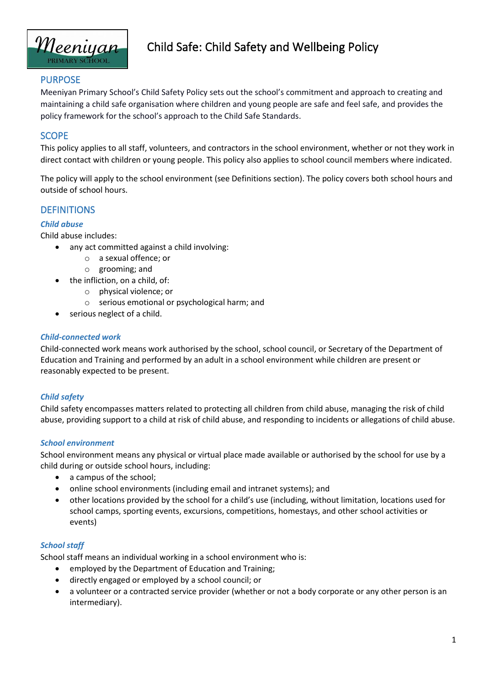

# Child Safe: Child Safety and Wellbeing Policy

### PURPOSE

Meeniyan Primary School's Child Safety Policy sets out the school's commitment and approach to creating and maintaining a child safe organisation where children and young people are safe and feel safe, and provides the policy framework for the school's approach to the Child Safe Standards.

### **SCOPE**

This policy applies to all staff, volunteers, and contractors in the school environment, whether or not they work in direct contact with children or young people. This policy also applies to school council members where indicated.

The policy will apply to the school environment (see Definitions section). The policy covers both school hours and outside of school hours.

### **DEFINITIONS**

#### *Child abuse*

Child abuse includes:

- any act committed against a child involving:
	- o a sexual offence; or
	- o grooming; and
- the infliction, on a child, of:
	- o physical violence; or
	- o serious emotional or psychological harm; and
- serious neglect of a child.

#### *Child-connected work*

Child-connected work means work authorised by the school, school council, or Secretary of the Department of Education and Training and performed by an adult in a school environment while children are present or reasonably expected to be present.

#### *Child safety*

Child safety encompasses matters related to protecting all children from child abuse, managing the risk of child abuse, providing support to a child at risk of child abuse, and responding to incidents or allegations of child abuse.

#### *School environment*

School environment means any physical or virtual place made available or authorised by the school for use by a child during or outside school hours, including:

- a campus of the school;
- online school environments (including email and intranet systems); and
- other locations provided by the school for a child's use (including, without limitation, locations used for school camps, sporting events, excursions, competitions, homestays, and other school activities or events)

#### *School staff*

School staff means an individual working in a school environment who is:

- employed by the Department of Education and Training;
- directly engaged or employed by a school council; or
- a volunteer or a contracted service provider (whether or not a body corporate or any other person is an intermediary).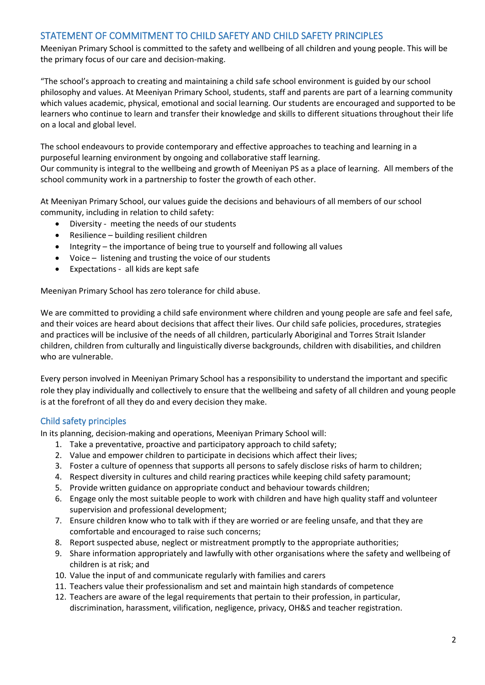# STATEMENT OF COMMITMENT TO CHILD SAFETY AND CHILD SAFETY PRINCIPLES

Meeniyan Primary School is committed to the safety and wellbeing of all children and young people. This will be the primary focus of our care and decision-making.

"The school's approach to creating and maintaining a child safe school environment is guided by our school philosophy and values. At Meeniyan Primary School, students, staff and parents are part of a learning community which values academic, physical, emotional and social learning. Our students are encouraged and supported to be learners who continue to learn and transfer their knowledge and skills to different situations throughout their life on a local and global level.

The school endeavours to provide contemporary and effective approaches to teaching and learning in a purposeful learning environment by ongoing and collaborative staff learning.

Our community is integral to the wellbeing and growth of Meeniyan PS as a place of learning. All members of the school community work in a partnership to foster the growth of each other.

At Meeniyan Primary School, our values guide the decisions and behaviours of all members of our school community, including in relation to child safety:

- Diversity meeting the needs of our students
- Resilience building resilient children
- Integrity the importance of being true to yourself and following all values
- Voice listening and trusting the voice of our students
- Expectations all kids are kept safe

Meeniyan Primary School has zero tolerance for child abuse.

We are committed to providing a child safe environment where children and young people are safe and feel safe, and their voices are heard about decisions that affect their lives. Our child safe policies, procedures, strategies and practices will be inclusive of the needs of all children, particularly Aboriginal and Torres Strait Islander children, children from culturally and linguistically diverse backgrounds, children with disabilities, and children who are vulnerable.

Every person involved in Meeniyan Primary School has a responsibility to understand the important and specific role they play individually and collectively to ensure that the wellbeing and safety of all children and young people is at the forefront of all they do and every decision they make.

### Child safety principles

In its planning, decision-making and operations, Meeniyan Primary School will:

- 1. Take a preventative, proactive and participatory approach to child safety;
- 2. Value and empower children to participate in decisions which affect their lives;
- 3. Foster a culture of openness that supports all persons to safely disclose risks of harm to children;
- 4. Respect diversity in cultures and child rearing practices while keeping child safety paramount;
- 5. Provide written guidance on appropriate conduct and behaviour towards children;
- 6. Engage only the most suitable people to work with children and have high quality staff and volunteer supervision and professional development;
- 7. Ensure children know who to talk with if they are worried or are feeling unsafe, and that they are comfortable and encouraged to raise such concerns;
- 8. Report suspected abuse, neglect or mistreatment promptly to the appropriate authorities;
- 9. Share information appropriately and lawfully with other organisations where the safety and wellbeing of children is at risk; and
- 10. Value the input of and communicate regularly with families and carers
- 11. Teachers value their professionalism and set and maintain high standards of competence
- 12. Teachers are aware of the legal requirements that pertain to their profession, in particular, discrimination, harassment, vilification, negligence, privacy, OH&S and teacher registration.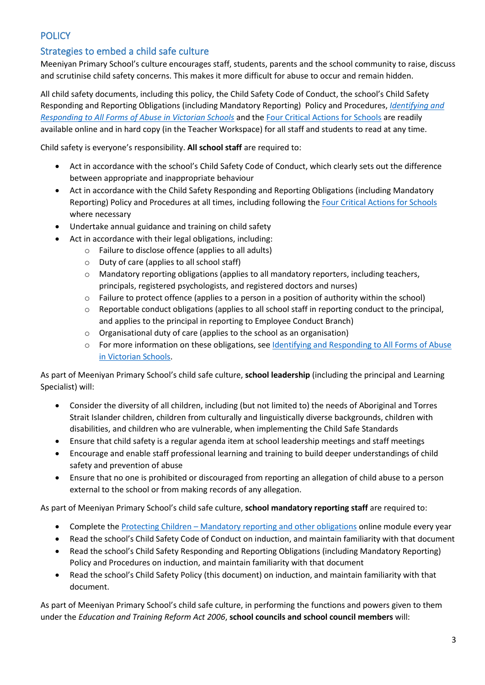# **POLICY**

# Strategies to embed a child safe culture

Meeniyan Primary School's culture encourages staff, students, parents and the school community to raise, discuss and scrutinise child safety concerns. This makes it more difficult for abuse to occur and remain hidden.

All child safety documents, including this policy, the Child Safety Code of Conduct, the school's Child Safety Responding and Reporting Obligations (including Mandatory Reporting) Policy and Procedures, *[Identifying and](https://www.education.vic.gov.au/Documents/about/programs/health/protect/ChildSafeStandard5_SchoolsGuide.pdf)  [Responding to All Forms of Abuse in Victorian Schools](https://www.education.vic.gov.au/Documents/about/programs/health/protect/ChildSafeStandard5_SchoolsGuide.pdf)* and the [Four Critical Actions for Schools](https://www.education.vic.gov.au/Documents/about/programs/health/protect/FourCriticalActions_ChildAbuse.pdf) are readily available online and in hard copy (in the Teacher Workspace) for all staff and students to read at any time.

Child safety is everyone's responsibility. **All school staff** are required to:

- Act in accordance with the school's Child Safety Code of Conduct, which clearly sets out the difference between appropriate and inappropriate behaviour
- Act in accordance with the Child Safety Responding and Reporting Obligations (including Mandatory Reporting) Policy and Procedures at all times, including following the [Four Critical Actions for Schools](https://www.education.vic.gov.au/Documents/about/programs/health/protect/FourCriticalActions_ChildAbuse.pdf) where necessary
- Undertake annual guidance and training on child safety
- Act in accordance with their legal obligations, including:
	- o Failure to disclose offence (applies to all adults)
	- o Duty of care (applies to all school staff)
	- $\circ$  Mandatory reporting obligations (applies to all mandatory reporters, including teachers, principals, registered psychologists, and registered doctors and nurses)
	- o Failure to protect offence (applies to a person in a position of authority within the school)
	- o Reportable conduct obligations (applies to all school staff in reporting conduct to the principal, and applies to the principal in reporting to Employee Conduct Branch)
	- o Organisational duty of care (applies to the school as an organisation)
	- o For more information on these obligations, see [Identifying and Responding to All Forms of Abuse](https://www.education.vic.gov.au/Documents/about/programs/health/protect/ChildSafeStandard5_SchoolsGuide.pdf)  [in Victorian Schools.](https://www.education.vic.gov.au/Documents/about/programs/health/protect/ChildSafeStandard5_SchoolsGuide.pdf)

As part of Meeniyan Primary School's child safe culture, **school leadership** (including the principal and Learning Specialist) will:

- Consider the diversity of all children, including (but not limited to) the needs of Aboriginal and Torres Strait Islander children, children from culturally and linguistically diverse backgrounds, children with disabilities, and children who are vulnerable, when implementing the Child Safe Standards
- Ensure that child safety is a regular agenda item at school leadership meetings and staff meetings
- Encourage and enable staff professional learning and training to build deeper understandings of child safety and prevention of abuse
- Ensure that no one is prohibited or discouraged from reporting an allegation of child abuse to a person external to the school or from making records of any allegation.

As part of Meeniyan Primary School's child safe culture, **school mandatory reporting staff** are required to:

- Complete the Protecting Children [Mandatory reporting and other obligations](http://elearn.com.au/det/protectingchildren/) online module every year
- Read the school's Child Safety Code of Conduct on induction, and maintain familiarity with that document
- Read the school's Child Safety Responding and Reporting Obligations (including Mandatory Reporting) Policy and Procedures on induction, and maintain familiarity with that document
- Read the school's Child Safety Policy (this document) on induction, and maintain familiarity with that document.

As part of Meeniyan Primary School's child safe culture, in performing the functions and powers given to them under the *Education and Training Reform Act 2006*, **school councils and school council members** will: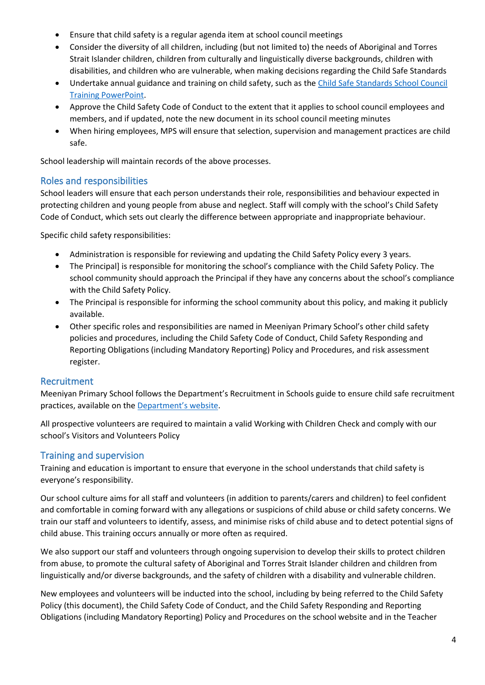- Ensure that child safety is a regular agenda item at school council meetings
- Consider the diversity of all children, including (but not limited to) the needs of Aboriginal and Torres Strait Islander children, children from culturally and linguistically diverse backgrounds, children with disabilities, and children who are vulnerable, when making decisions regarding the Child Safe Standards
- Undertake annual guidance and training on child safety, such as th[e Child Safe Standards School Council](https://www.education.vic.gov.au/Documents/about/programs/health/protect/school-council-training.pptx)  Training [PowerPoint.](https://www.education.vic.gov.au/Documents/about/programs/health/protect/school-council-training.pptx)
- Approve the Child Safety Code of Conduct to the extent that it applies to school council employees and members, and if updated, note the new document in its school council meeting minutes
- When hiring employees, MPS will ensure that selection, supervision and management practices are child safe.

School leadership will maintain records of the above processes.

# Roles and responsibilities

School leaders will ensure that each person understands their role, responsibilities and behaviour expected in protecting children and young people from abuse and neglect. Staff will comply with the school's Child Safety Code of Conduct, which sets out clearly the difference between appropriate and inappropriate behaviour.

Specific child safety responsibilities:

- Administration is responsible for reviewing and updating the Child Safety Policy every 3 years.
- The Principal] is responsible for monitoring the school's compliance with the Child Safety Policy. The school community should approach the Principal if they have any concerns about the school's compliance with the Child Safety Policy.
- The Principal is responsible for informing the school community about this policy, and making it publicly available.
- Other specific roles and responsibilities are named in Meeniyan Primary School's other child safety policies and procedures, including the Child Safety Code of Conduct, Child Safety Responding and Reporting Obligations (including Mandatory Reporting) Policy and Procedures, and risk assessment register.

# Recruitment

Meeniyan Primary School follows the Department's Recruitment in Schools guide to ensure child safe recruitment practices, available on the [Department'](https://www.education.vic.gov.au/hrweb/careers/Pages/recruitinsch.aspx)s website.

All prospective volunteers are required to maintain a valid Working with Children Check and comply with our school's Visitors and Volunteers Policy

# Training and supervision

Training and education is important to ensure that everyone in the school understands that child safety is everyone's responsibility.

Our school culture aims for all staff and volunteers (in addition to parents/carers and children) to feel confident and comfortable in coming forward with any allegations or suspicions of child abuse or child safety concerns. We train our staff and volunteers to identify, assess, and minimise risks of child abuse and to detect potential signs of child abuse. This training occurs annually or more often as required.

We also support our staff and volunteers through ongoing supervision to develop their skills to protect children from abuse, to promote the cultural safety of Aboriginal and Torres Strait Islander children and children from linguistically and/or diverse backgrounds, and the safety of children with a disability and vulnerable children.

New employees and volunteers will be inducted into the school, including by being referred to the Child Safety Policy (this document), the Child Safety Code of Conduct, and the Child Safety Responding and Reporting Obligations (including Mandatory Reporting) Policy and Procedures on the school website and in the Teacher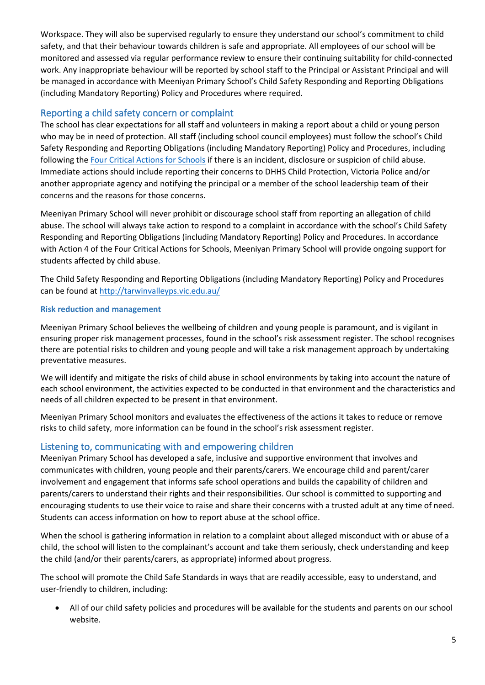Workspace. They will also be supervised regularly to ensure they understand our school's commitment to child safety, and that their behaviour towards children is safe and appropriate. All employees of our school will be monitored and assessed via regular performance review to ensure their continuing suitability for child-connected work. Any inappropriate behaviour will be reported by school staff to the Principal or Assistant Principal and will be managed in accordance with Meeniyan Primary School's Child Safety Responding and Reporting Obligations (including Mandatory Reporting) Policy and Procedures where required.

### Reporting a child safety concern or complaint

The school has clear expectations for all staff and volunteers in making a report about a child or young person who may be in need of protection. All staff (including school council employees) must follow the school's Child Safety Responding and Reporting Obligations (including Mandatory Reporting) Policy and Procedures, including following the [Four Critical Actions for Schools](https://www.education.vic.gov.au/Documents/about/programs/health/protect/FourCriticalActions_ChildAbuse.pdf) if there is an incident, disclosure or suspicion of child abuse. Immediate actions should include reporting their concerns to DHHS Child Protection, Victoria Police and/or another appropriate agency and notifying the principal or a member of the school leadership team of their concerns and the reasons for those concerns.

Meeniyan Primary School will never prohibit or discourage school staff from reporting an allegation of child abuse. The school will always take action to respond to a complaint in accordance with the school's Child Safety Responding and Reporting Obligations (including Mandatory Reporting) Policy and Procedures. In accordance with Action 4 of the Four Critical Actions for Schools, Meeniyan Primary School will provide ongoing support for students affected by child abuse.

The Child Safety Responding and Reporting Obligations (including Mandatory Reporting) Policy and Procedures can be found at<http://tarwinvalleyps.vic.edu.au/>

#### **Risk reduction and management**

Meeniyan Primary School believes the wellbeing of children and young people is paramount, and is vigilant in ensuring proper risk management processes, found in the school's risk assessment register. The school recognises there are potential risks to children and young people and will take a risk management approach by undertaking preventative measures.

We will identify and mitigate the risks of child abuse in school environments by taking into account the nature of each school environment, the activities expected to be conducted in that environment and the characteristics and needs of all children expected to be present in that environment.

Meeniyan Primary School monitors and evaluates the effectiveness of the actions it takes to reduce or remove risks to child safety, more information can be found in the school's risk assessment register.

### Listening to, communicating with and empowering children

Meeniyan Primary School has developed a safe, inclusive and supportive environment that involves and communicates with children, young people and their parents/carers. We encourage child and parent/carer involvement and engagement that informs safe school operations and builds the capability of children and parents/carers to understand their rights and their responsibilities. Our school is committed to supporting and encouraging students to use their voice to raise and share their concerns with a trusted adult at any time of need. Students can access information on how to report abuse at the school office.

When the school is gathering information in relation to a complaint about alleged misconduct with or abuse of a child, the school will listen to the complainant's account and take them seriously, check understanding and keep the child (and/or their parents/carers, as appropriate) informed about progress.

The school will promote the Child Safe Standards in ways that are readily accessible, easy to understand, and user-friendly to children, including:

• All of our child safety policies and procedures will be available for the students and parents on our school website.